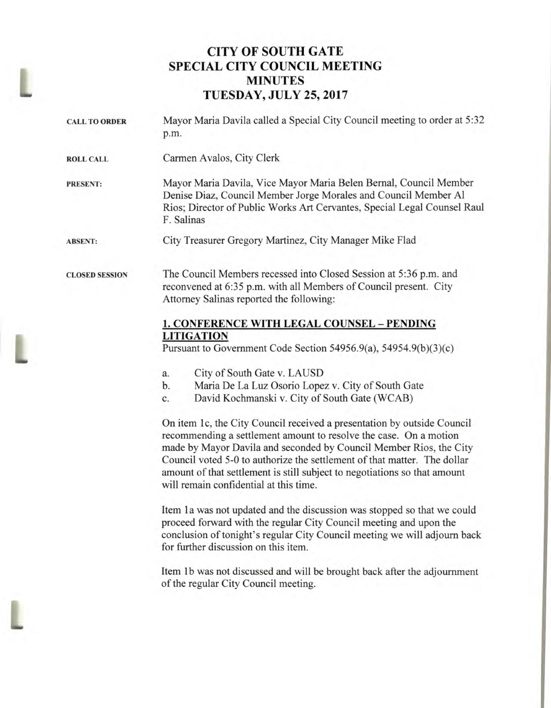# **CITY OF SOUTH GATE SPECIAL CITY COUNCIL MEETING MINUTES TUESDAY, JULY 25, 2017**

L

| <b>CALL TO ORDER</b>  | Mayor Maria Davila called a Special City Council meeting to order at 5:32<br>p.m.                                                                                                                                                                                                                                                                                                                                                                                                                                                                                                                                                                                                                                                                                                                                                                                                                                                                                                                                                                                                                              |  |
|-----------------------|----------------------------------------------------------------------------------------------------------------------------------------------------------------------------------------------------------------------------------------------------------------------------------------------------------------------------------------------------------------------------------------------------------------------------------------------------------------------------------------------------------------------------------------------------------------------------------------------------------------------------------------------------------------------------------------------------------------------------------------------------------------------------------------------------------------------------------------------------------------------------------------------------------------------------------------------------------------------------------------------------------------------------------------------------------------------------------------------------------------|--|
| <b>ROLL CALL</b>      | Carmen Avalos, City Clerk                                                                                                                                                                                                                                                                                                                                                                                                                                                                                                                                                                                                                                                                                                                                                                                                                                                                                                                                                                                                                                                                                      |  |
| <b>PRESENT:</b>       | Mayor Maria Davila, Vice Mayor Maria Belen Bernal, Council Member<br>Denise Diaz, Council Member Jorge Morales and Council Member Al<br>Rios; Director of Public Works Art Cervantes, Special Legal Counsel Raul<br>F. Salinas                                                                                                                                                                                                                                                                                                                                                                                                                                                                                                                                                                                                                                                                                                                                                                                                                                                                                 |  |
| <b>ABSENT:</b>        | City Treasurer Gregory Martinez, City Manager Mike Flad                                                                                                                                                                                                                                                                                                                                                                                                                                                                                                                                                                                                                                                                                                                                                                                                                                                                                                                                                                                                                                                        |  |
| <b>CLOSED SESSION</b> | The Council Members recessed into Closed Session at 5:36 p.m. and<br>reconvened at 6:35 p.m. with all Members of Council present. City<br>Attorney Salinas reported the following:                                                                                                                                                                                                                                                                                                                                                                                                                                                                                                                                                                                                                                                                                                                                                                                                                                                                                                                             |  |
|                       | 1. CONFERENCE WITH LEGAL COUNSEL - PENDING<br><b>LITIGATION</b><br>Pursuant to Government Code Section 54956.9(a), 54954.9(b)(3)(c)<br>City of South Gate v. LAUSD<br>a.<br>Maria De La Luz Osorio Lopez v. City of South Gate<br>b.<br>David Kochmanski v. City of South Gate (WCAB)<br>c.<br>On item 1c, the City Council received a presentation by outside Council<br>recommending a settlement amount to resolve the case. On a motion<br>made by Mayor Davila and seconded by Council Member Rios, the City<br>Council voted 5-0 to authorize the settlement of that matter. The dollar<br>amount of that settlement is still subject to negotiations so that amount<br>will remain confidential at this time.<br>Item 1a was not updated and the discussion was stopped so that we could<br>proceed forward with the regular City Council meeting and upon the<br>conclusion of tonight's regular City Council meeting we will adjourn back<br>for further discussion on this item.<br>Item 1b was not discussed and will be brought back after the adjournment<br>of the regular City Council meeting. |  |
|                       |                                                                                                                                                                                                                                                                                                                                                                                                                                                                                                                                                                                                                                                                                                                                                                                                                                                                                                                                                                                                                                                                                                                |  |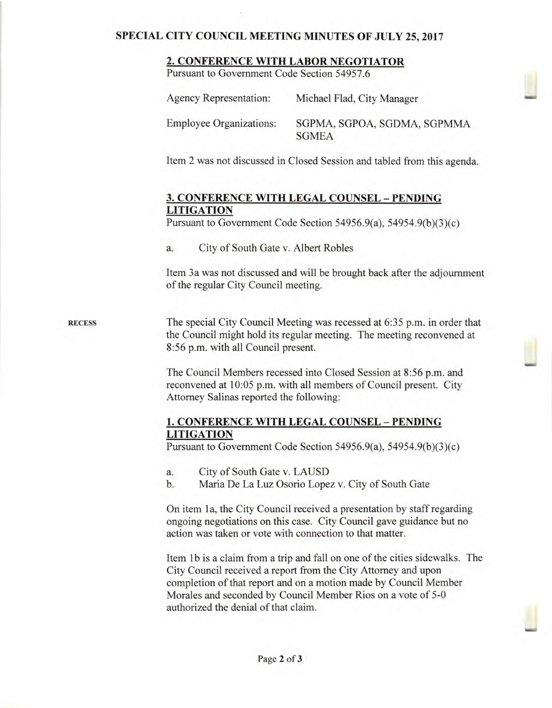#### **SPECIAL CITY COUNCIL MEETING MINUTES OF JULY 25, 2017**

#### **2. CONFERENCE WITH LABOR NEGOTIATOR**

Pursuant to Government Code Section 54957.6

| Agency Representation:         | Michael Flad, City Manager                  |
|--------------------------------|---------------------------------------------|
| <b>Employee Organizations:</b> | SGPMA, SGPOA, SGDMA, SGPMMA<br><b>SGMEA</b> |

Item 2 was not discussed in Closed Session and tabled from this agenda.

# **3. CONFERENCE WITH LEGAL** COUNSEL — **PENDING LITIGATION**

Pursuant to Government Code Section 54956.9(a), 54954.9(b)(3)(c)

a. City of South Gate v. Albert Robles

Item 3a was not discussed and will be brought back after the adjournment of the regular City Council meeting.

**RECESS** The special City Council Meeting was recessed at 6:35 p.m. in order that the Council might hold its regular meeting. The meeting reconvened at 8:56 p.m. with all Council present.

> The Council Members recessed into Closed Session at 8:56 p.m. and reconvened at 10:05 p.m. with all members of Council present. City Attorney Salinas reported the following:

## **1. CONFERENCE WITH LEGAL COUNSEL — PENDING LITIGATION**

Pursuant to Government Code Section 54956.9(a), 54954.9(b)(3)(c)

- a. City of South Gate v. LAUSD
- b. Maria De La Luz Osorio Lopez v. City of South Gate

On item **1** a, the City Council received a presentation by staff regarding ongoing negotiations on this case. City Council gave guidance but no action was taken or vote with connection to that matter.

Item 1b is a claim from a trip and fall on one of the cities sidewalks. The City Council received a report from the City Attorney and upon completion of that report and on a motion made by Council Member Morales and seconded by Council Member Rios on a vote of 5-0 authorized the denial of that claim.